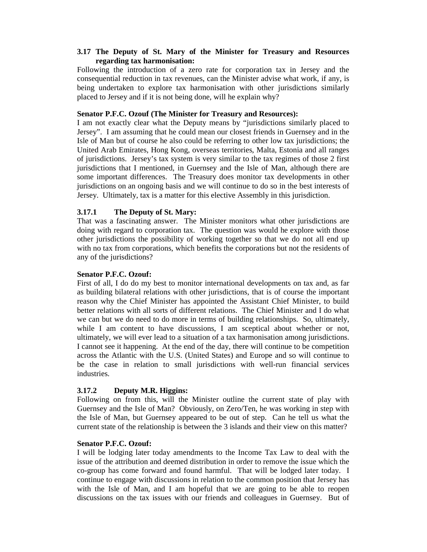## **3.17 The Deputy of St. Mary of the Minister for Treasury and Resources regarding tax harmonisation:**

Following the introduction of a zero rate for corporation tax in Jersey and the consequential reduction in tax revenues, can the Minister advise what work, if any, is being undertaken to explore tax harmonisation with other jurisdictions similarly placed to Jersey and if it is not being done, will he explain why?

#### **Senator P.F.C. Ozouf (The Minister for Treasury and Resources):**

I am not exactly clear what the Deputy means by "jurisdictions similarly placed to Jersey". I am assuming that he could mean our closest friends in Guernsey and in the Isle of Man but of course he also could be referring to other low tax jurisdictions; the United Arab Emirates, Hong Kong, overseas territories, Malta, Estonia and all ranges of jurisdictions. Jersey's tax system is very similar to the tax regimes of those 2 first jurisdictions that I mentioned, in Guernsey and the Isle of Man, although there are some important differences. The Treasury does monitor tax developments in other jurisdictions on an ongoing basis and we will continue to do so in the best interests of Jersey. Ultimately, tax is a matter for this elective Assembly in this jurisdiction.

## **3.17.1 The Deputy of St. Mary:**

That was a fascinating answer. The Minister monitors what other jurisdictions are doing with regard to corporation tax. The question was would he explore with those other jurisdictions the possibility of working together so that we do not all end up with no tax from corporations, which benefits the corporations but not the residents of any of the jurisdictions?

## **Senator P.F.C. Ozouf:**

First of all, I do do my best to monitor international developments on tax and, as far as building bilateral relations with other jurisdictions, that is of course the important reason why the Chief Minister has appointed the Assistant Chief Minister, to build better relations with all sorts of different relations. The Chief Minister and I do what we can but we do need to do more in terms of building relationships. So, ultimately, while I am content to have discussions, I am sceptical about whether or not, ultimately, we will ever lead to a situation of a tax harmonisation among jurisdictions. I cannot see it happening. At the end of the day, there will continue to be competition across the Atlantic with the U.S. (United States) and Europe and so will continue to be the case in relation to small jurisdictions with well-run financial services industries.

## **3.17.2 Deputy M.R. Higgins:**

Following on from this, will the Minister outline the current state of play with Guernsey and the Isle of Man? Obviously, on Zero/Ten, he was working in step with the Isle of Man, but Guernsey appeared to be out of step. Can he tell us what the current state of the relationship is between the 3 islands and their view on this matter?

#### **Senator P.F.C. Ozouf:**

I will be lodging later today amendments to the Income Tax Law to deal with the issue of the attribution and deemed distribution in order to remove the issue which the co-group has come forward and found harmful. That will be lodged later today. I continue to engage with discussions in relation to the common position that Jersey has with the Isle of Man, and I am hopeful that we are going to be able to reopen discussions on the tax issues with our friends and colleagues in Guernsey. But of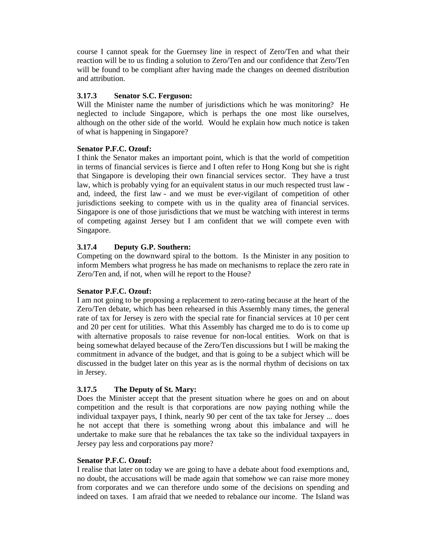course I cannot speak for the Guernsey line in respect of Zero/Ten and what their reaction will be to us finding a solution to Zero/Ten and our confidence that Zero/Ten will be found to be compliant after having made the changes on deemed distribution and attribution.

## **3.17.3 Senator S.C. Ferguson:**

Will the Minister name the number of jurisdictions which he was monitoring? He neglected to include Singapore, which is perhaps the one most like ourselves, although on the other side of the world. Would he explain how much notice is taken of what is happening in Singapore?

## **Senator P.F.C. Ozouf:**

I think the Senator makes an important point, which is that the world of competition in terms of financial services is fierce and I often refer to Hong Kong but she is right that Singapore is developing their own financial services sector. They have a trust law, which is probably vying for an equivalent status in our much respected trust law and, indeed, the first law - and we must be ever-vigilant of competition of other jurisdictions seeking to compete with us in the quality area of financial services. Singapore is one of those jurisdictions that we must be watching with interest in terms of competing against Jersey but I am confident that we will compete even with Singapore.

## **3.17.4 Deputy G.P. Southern:**

Competing on the downward spiral to the bottom. Is the Minister in any position to inform Members what progress he has made on mechanisms to replace the zero rate in Zero/Ten and, if not, when will he report to the House?

## **Senator P.F.C. Ozouf:**

I am not going to be proposing a replacement to zero-rating because at the heart of the Zero/Ten debate, which has been rehearsed in this Assembly many times, the general rate of tax for Jersey is zero with the special rate for financial services at 10 per cent and 20 per cent for utilities. What this Assembly has charged me to do is to come up with alternative proposals to raise revenue for non-local entities. Work on that is being somewhat delayed because of the Zero/Ten discussions but I will be making the commitment in advance of the budget, and that is going to be a subject which will be discussed in the budget later on this year as is the normal rhythm of decisions on tax in Jersey.

# **3.17.5 The Deputy of St. Mary:**

Does the Minister accept that the present situation where he goes on and on about competition and the result is that corporations are now paying nothing while the individual taxpayer pays, I think, nearly 90 per cent of the tax take for Jersey ... does he not accept that there is something wrong about this imbalance and will he undertake to make sure that he rebalances the tax take so the individual taxpayers in Jersey pay less and corporations pay more?

## **Senator P.F.C. Ozouf:**

I realise that later on today we are going to have a debate about food exemptions and, no doubt, the accusations will be made again that somehow we can raise more money from corporates and we can therefore undo some of the decisions on spending and indeed on taxes. I am afraid that we needed to rebalance our income. The Island was